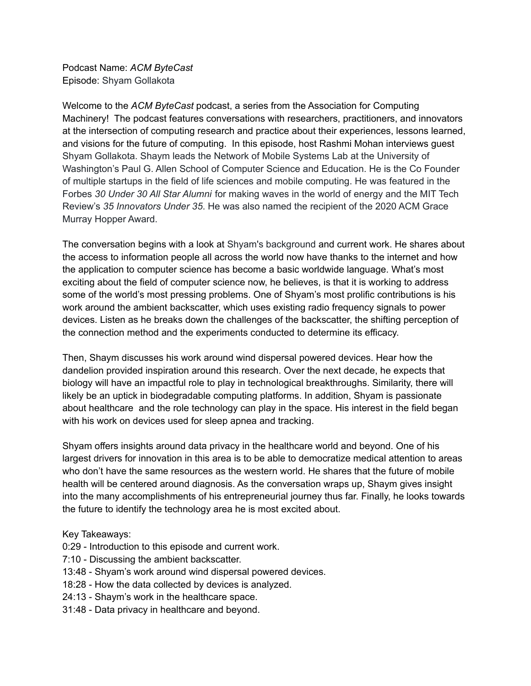Podcast Name: *ACM ByteCast* Episode: Shyam Gollakota

Welcome to the *ACM ByteCast* podcast, a series from the Association for Computing Machinery! The podcast features conversations with researchers, practitioners, and innovators at the intersection of computing research and practice about their experiences, lessons learned, and visions for the future of computing. In this episode, host Rashmi Mohan interviews guest Shyam Gollakota. Shaym leads the Network of Mobile Systems Lab at the University of Washington's Paul G. Allen School of Computer Science and Education. He is the Co Founder of multiple startups in the field of life sciences and mobile computing. He was featured in the Forbes *30 Under 30 All Star Alumni* for making waves in the world of energy and the MIT Tech Review's *35 Innovators Under 35*. He was also named the recipient of the 2020 ACM Grace Murray Hopper Award.

The conversation begins with a look at Shyam's background and current work. He shares about the access to information people all across the world now have thanks to the internet and how the application to computer science has become a basic worldwide language. What's most exciting about the field of computer science now, he believes, is that it is working to address some of the world's most pressing problems. One of Shyam's most prolific contributions is his work around the ambient backscatter, which uses existing radio frequency signals to power devices. Listen as he breaks down the challenges of the backscatter, the shifting perception of the connection method and the experiments conducted to determine its efficacy.

Then, Shaym discusses his work around wind dispersal powered devices. Hear how the dandelion provided inspiration around this research. Over the next decade, he expects that biology will have an impactful role to play in technological breakthroughs. Similarity, there will likely be an uptick in biodegradable computing platforms. In addition, Shyam is passionate about healthcare and the role technology can play in the space. His interest in the field began with his work on devices used for sleep apnea and tracking.

Shyam offers insights around data privacy in the healthcare world and beyond. One of his largest drivers for innovation in this area is to be able to democratize medical attention to areas who don't have the same resources as the western world. He shares that the future of mobile health will be centered around diagnosis. As the conversation wraps up, Shaym gives insight into the many accomplishments of his entrepreneurial journey thus far. Finally, he looks towards the future to identify the technology area he is most excited about.

Key Takeaways:

- 0:29 Introduction to this episode and current work.
- 7:10 Discussing the ambient backscatter.
- 13:48 Shyam's work around wind dispersal powered devices.
- 18:28 How the data collected by devices is analyzed.
- 24:13 Shaym's work in the healthcare space.
- 31:48 Data privacy in healthcare and beyond.